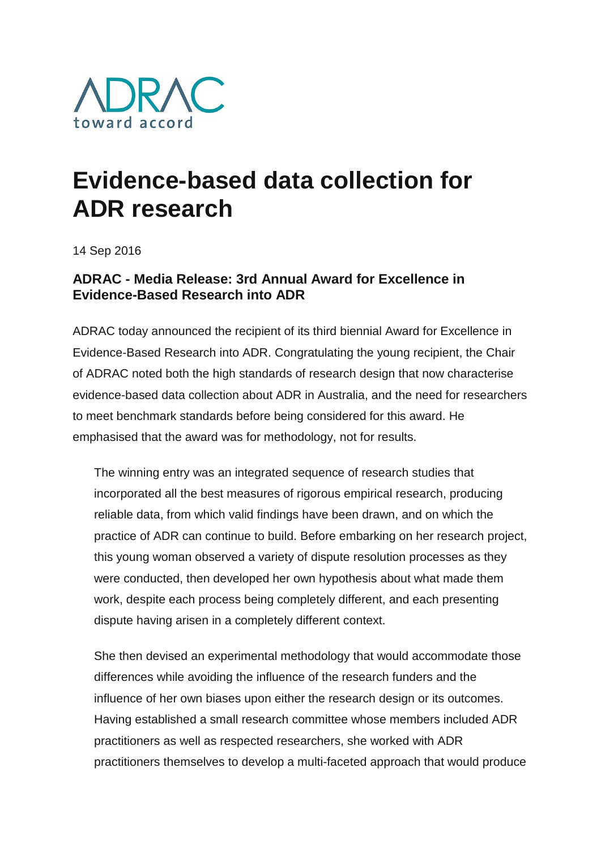

## **Evidence-based data collection for ADR research**

14 Sep 2016

## **ADRAC - Media Release: 3rd Annual Award for Excellence in Evidence-Based Research into ADR**

ADRAC today announced the recipient of its third biennial Award for Excellence in Evidence-Based Research into ADR. Congratulating the young recipient, the Chair of ADRAC noted both the high standards of research design that now characterise evidence-based data collection about ADR in Australia, and the need for researchers to meet benchmark standards before being considered for this award. He emphasised that the award was for methodology, not for results.

The winning entry was an integrated sequence of research studies that incorporated all the best measures of rigorous empirical research, producing reliable data, from which valid findings have been drawn, and on which the practice of ADR can continue to build. Before embarking on her research project, this young woman observed a variety of dispute resolution processes as they were conducted, then developed her own hypothesis about what made them work, despite each process being completely different, and each presenting dispute having arisen in a completely different context.

She then devised an experimental methodology that would accommodate those differences while avoiding the influence of the research funders and the influence of her own biases upon either the research design or its outcomes. Having established a small research committee whose members included ADR practitioners as well as respected researchers, she worked with ADR practitioners themselves to develop a multi-faceted approach that would produce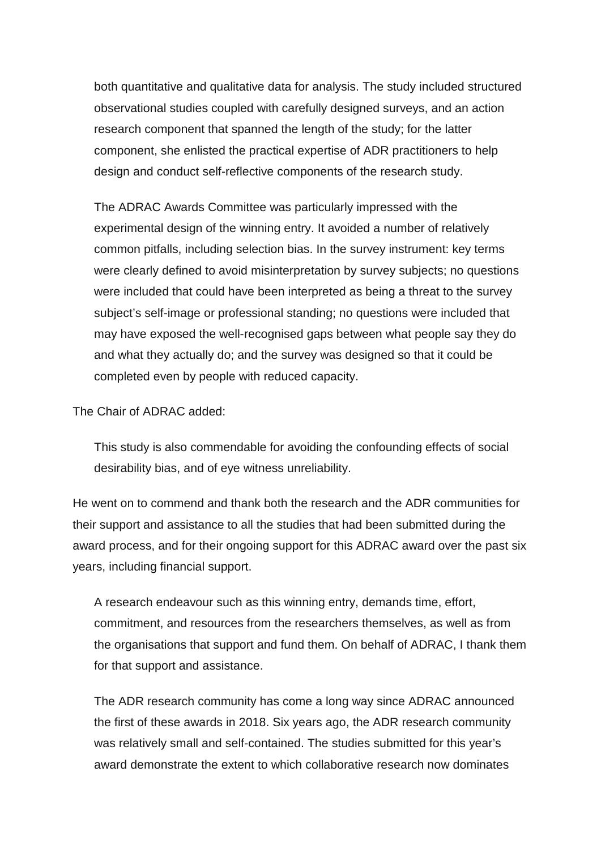both quantitative and qualitative data for analysis. The study included structured observational studies coupled with carefully designed surveys, and an action research component that spanned the length of the study; for the latter component, she enlisted the practical expertise of ADR practitioners to help design and conduct self-reflective components of the research study.

The ADRAC Awards Committee was particularly impressed with the experimental design of the winning entry. It avoided a number of relatively common pitfalls, including selection bias. In the survey instrument: key terms were clearly defined to avoid misinterpretation by survey subjects; no questions were included that could have been interpreted as being a threat to the survey subject's self-image or professional standing; no questions were included that may have exposed the well-recognised gaps between what people say they do and what they actually do; and the survey was designed so that it could be completed even by people with reduced capacity.

The Chair of ADRAC added:

This study is also commendable for avoiding the confounding effects of social desirability bias, and of eye witness unreliability.

He went on to commend and thank both the research and the ADR communities for their support and assistance to all the studies that had been submitted during the award process, and for their ongoing support for this ADRAC award over the past six years, including financial support.

A research endeavour such as this winning entry, demands time, effort, commitment, and resources from the researchers themselves, as well as from the organisations that support and fund them. On behalf of ADRAC, I thank them for that support and assistance.

The ADR research community has come a long way since ADRAC announced the first of these awards in 2018. Six years ago, the ADR research community was relatively small and self-contained. The studies submitted for this year's award demonstrate the extent to which collaborative research now dominates